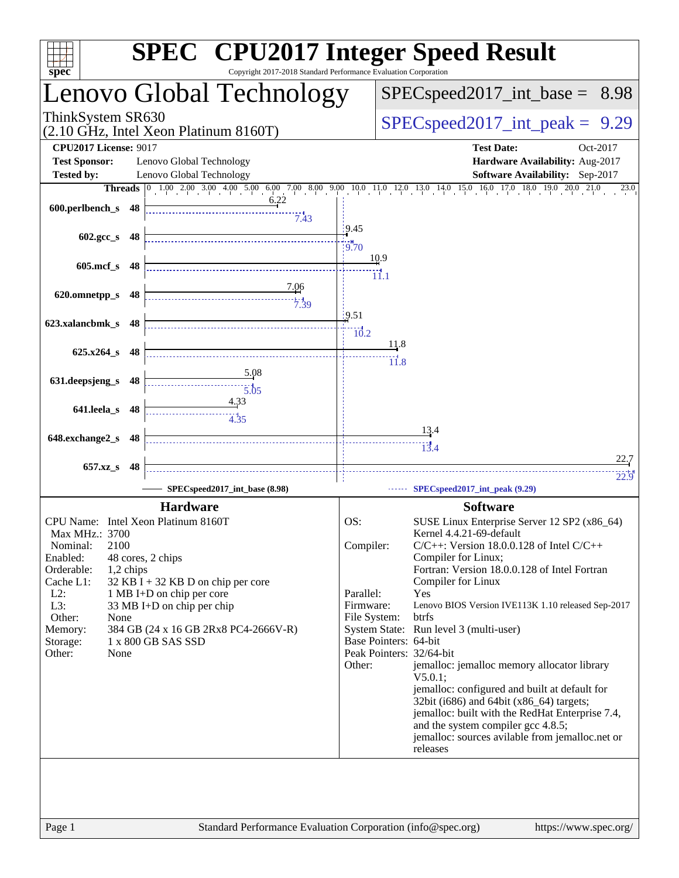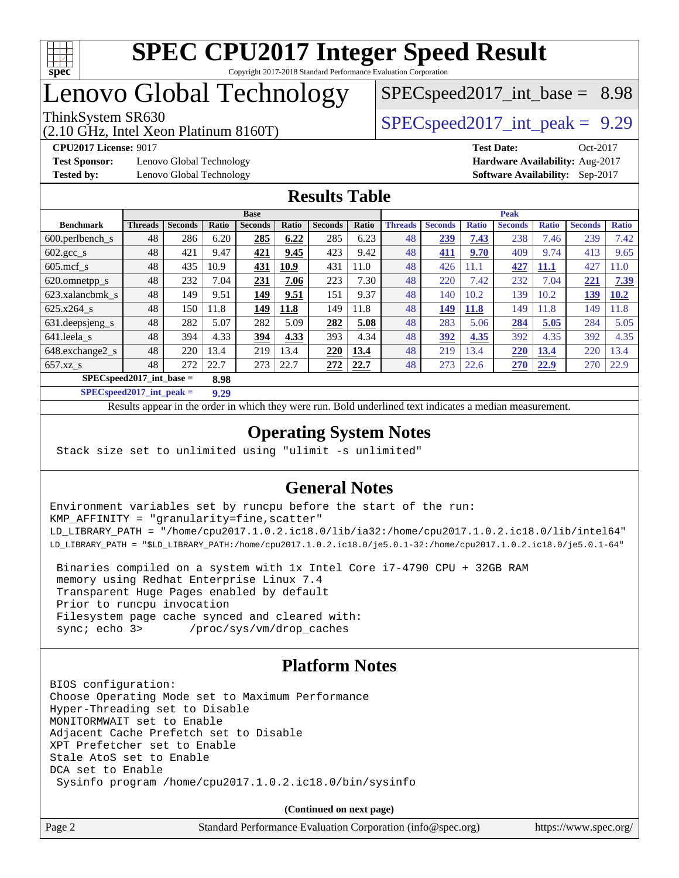

# Lenovo Global Technology

(2.10 GHz, Intel Xeon Platinum 8160T)

ThinkSystem SR630  $SPEC speed2017$  int peak = 9.29

 $SPECspeed2017\_int\_base = 8.98$ 

**[Test Sponsor:](http://www.spec.org/auto/cpu2017/Docs/result-fields.html#TestSponsor)** Lenovo Global Technology **[Hardware Availability:](http://www.spec.org/auto/cpu2017/Docs/result-fields.html#HardwareAvailability)** Aug-2017 **[Tested by:](http://www.spec.org/auto/cpu2017/Docs/result-fields.html#Testedby)** Lenovo Global Technology **[Software Availability:](http://www.spec.org/auto/cpu2017/Docs/result-fields.html#SoftwareAvailability)** Sep-2017

**[CPU2017 License:](http://www.spec.org/auto/cpu2017/Docs/result-fields.html#CPU2017License)** 9017 **[Test Date:](http://www.spec.org/auto/cpu2017/Docs/result-fields.html#TestDate)** Oct-2017

## **[Results Table](http://www.spec.org/auto/cpu2017/Docs/result-fields.html#ResultsTable)**

|                       | <b>Base</b>                        |                |       |                |       |                | <b>Peak</b> |                |                |              |                |              |                |              |
|-----------------------|------------------------------------|----------------|-------|----------------|-------|----------------|-------------|----------------|----------------|--------------|----------------|--------------|----------------|--------------|
| <b>Benchmark</b>      | <b>Threads</b>                     | <b>Seconds</b> | Ratio | <b>Seconds</b> | Ratio | <b>Seconds</b> | Ratio       | <b>Threads</b> | <b>Seconds</b> | <b>Ratio</b> | <b>Seconds</b> | <b>Ratio</b> | <b>Seconds</b> | <b>Ratio</b> |
| $600.$ perlbench_s    | 48                                 | 286            | 6.20  | 285            | 6.22  | 285            | 6.23        | 48             | 239            | 7.43         | 238            | 7.46         | 239            | 7.42         |
| 602.gcc_s             | 48                                 | 421            | 9.47  | 421            | 9.45  | 423            | 9.42        | 48             | 411            | 9.70         | 409            | 9.74         | 413            | 9.65         |
| $605$ .mcf s          | 48                                 | 435            | 10.9  | 431            | 10.9  | 431            | 11.0        | 48             | 426            | 11.1         | 427            | 11.1         | 427            | 1.0          |
| 620.omnetpp_s         | 48                                 | 232            | 7.04  | 231            | 7.06  | 223            | 7.30        | 48             | 220            | 7.42         | 232            | 7.04         | 221            | 7.39         |
| 623.xalancbmk s       | 48                                 | 149            | 9.51  | 149            | 9.51  | 151            | 9.37        | 48             | 140            | 10.2         | 139            | 10.2         | 139            | 10.2         |
| 625.x264 s            | 48                                 | 150            | 11.8  | 149            | 11.8  | 149            | 11.8        | 48             | 149            | <b>11.8</b>  | 149            | 1.8          | 149            | 1.8          |
| 631.deepsjeng_s       | 48                                 | 282            | 5.07  | 282            | 5.09  | 282            | 5.08        | 48             | 283            | 5.06         | 284            | 5.05         | 284            | 5.05         |
| 641.leela s           | 48                                 | 394            | 4.33  | 394            | 4.33  | 393            | 4.34        | 48             | 392            | 4.35         | 392            | 4.35         | 392            | 4.35         |
| 648.exchange2_s       | 48                                 | 220            | 13.4  | 219            | 13.4  | 220            | 13.4        | 48             | 219            | 13.4         | 220            | 13.4         | 220            | 13.4         |
| $657.xz$ <sub>S</sub> | 48                                 | 272            | 22.7  | 273            | 22.7  | 272            | 22.7        | 48             | 273            | 22.6         | 270            | 22.9         | 270            | 22.9         |
|                       | $SPECspeed2017$ int base =<br>8.98 |                |       |                |       |                |             |                |                |              |                |              |                |              |

**[SPECspeed2017\\_int\\_peak =](http://www.spec.org/auto/cpu2017/Docs/result-fields.html#SPECspeed2017intpeak) 9.29**

Results appear in the [order in which they were run.](http://www.spec.org/auto/cpu2017/Docs/result-fields.html#RunOrder) Bold underlined text [indicates a median measurement](http://www.spec.org/auto/cpu2017/Docs/result-fields.html#Median).

## **[Operating System Notes](http://www.spec.org/auto/cpu2017/Docs/result-fields.html#OperatingSystemNotes)**

Stack size set to unlimited using "ulimit -s unlimited"

## **[General Notes](http://www.spec.org/auto/cpu2017/Docs/result-fields.html#GeneralNotes)**

Environment variables set by runcpu before the start of the run: KMP\_AFFINITY = "granularity=fine,scatter" LD\_LIBRARY\_PATH = "/home/cpu2017.1.0.2.ic18.0/lib/ia32:/home/cpu2017.1.0.2.ic18.0/lib/intel64" LD\_LIBRARY\_PATH = "\$LD\_LIBRARY\_PATH:/home/cpu2017.1.0.2.ic18.0/je5.0.1-32:/home/cpu2017.1.0.2.ic18.0/je5.0.1-64"

 Binaries compiled on a system with 1x Intel Core i7-4790 CPU + 32GB RAM memory using Redhat Enterprise Linux 7.4 Transparent Huge Pages enabled by default Prior to runcpu invocation Filesystem page cache synced and cleared with: sync; echo 3> /proc/sys/vm/drop\_caches

## **[Platform Notes](http://www.spec.org/auto/cpu2017/Docs/result-fields.html#PlatformNotes)**

BIOS configuration: Choose Operating Mode set to Maximum Performance Hyper-Threading set to Disable MONITORMWAIT set to Enable Adjacent Cache Prefetch set to Disable XPT Prefetcher set to Enable Stale AtoS set to Enable DCA set to Enable Sysinfo program /home/cpu2017.1.0.2.ic18.0/bin/sysinfo

**(Continued on next page)**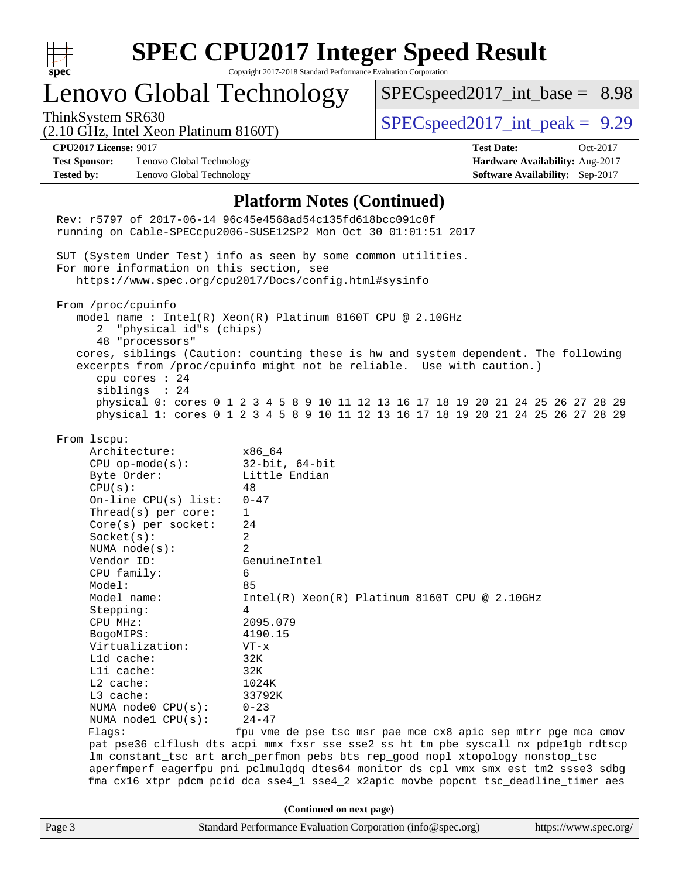

# **[SPEC CPU2017 Integer Speed Result](http://www.spec.org/auto/cpu2017/Docs/result-fields.html#SPECCPU2017IntegerSpeedResult)**

Copyright 2017-2018 Standard Performance Evaluation Corporation

# Lenovo Global Technology

 $SPECspeed2017\_int\_base = 8.98$ 

ThinkSystem SR630  $SPEC speed2017$  int peak = 9.29

# (2.10 GHz, Intel Xeon Platinum 8160T)

**[Test Sponsor:](http://www.spec.org/auto/cpu2017/Docs/result-fields.html#TestSponsor)** Lenovo Global Technology **[Hardware Availability:](http://www.spec.org/auto/cpu2017/Docs/result-fields.html#HardwareAvailability)** Aug-2017 **[Tested by:](http://www.spec.org/auto/cpu2017/Docs/result-fields.html#Testedby)** Lenovo Global Technology **[Software Availability:](http://www.spec.org/auto/cpu2017/Docs/result-fields.html#SoftwareAvailability)** Sep-2017

**[CPU2017 License:](http://www.spec.org/auto/cpu2017/Docs/result-fields.html#CPU2017License)** 9017 **[Test Date:](http://www.spec.org/auto/cpu2017/Docs/result-fields.html#TestDate)** Oct-2017

### **[Platform Notes \(Continued\)](http://www.spec.org/auto/cpu2017/Docs/result-fields.html#PlatformNotes)**

Page 3 Standard Performance Evaluation Corporation [\(info@spec.org\)](mailto:info@spec.org) <https://www.spec.org/> Rev: r5797 of 2017-06-14 96c45e4568ad54c135fd618bcc091c0f running on Cable-SPECcpu2006-SUSE12SP2 Mon Oct 30 01:01:51 2017 SUT (System Under Test) info as seen by some common utilities. For more information on this section, see <https://www.spec.org/cpu2017/Docs/config.html#sysinfo> From /proc/cpuinfo model name : Intel(R) Xeon(R) Platinum 8160T CPU @ 2.10GHz 2 "physical id"s (chips) 48 "processors" cores, siblings (Caution: counting these is hw and system dependent. The following excerpts from /proc/cpuinfo might not be reliable. Use with caution.) cpu cores : 24 siblings : 24 physical 0: cores 0 1 2 3 4 5 8 9 10 11 12 13 16 17 18 19 20 21 24 25 26 27 28 29 physical 1: cores 0 1 2 3 4 5 8 9 10 11 12 13 16 17 18 19 20 21 24 25 26 27 28 29 From lscpu: Architecture: x86\_64 CPU op-mode(s): 32-bit, 64-bit Byte Order: Little Endian  $CPU(s):$  48 On-line CPU(s) list: 0-47 Thread(s) per core: 1 Core(s) per socket: 24 Socket(s): 2 NUMA node(s): 2 Vendor ID: GenuineIntel CPU family: 6 Model: 85<br>Model name: 1n Intel(R) Xeon(R) Platinum 8160T CPU @ 2.10GHz Stepping: 4 CPU MHz: 2095.079 BogoMIPS: 4190.15 Virtualization: VT-x L1d cache: 32K L1i cache: 32K L2 cache: 1024K L3 cache: 33792K NUMA node0 CPU(s): 0-23 NUMA node1 CPU(s): 24-47 Flags: fpu vme de pse tsc msr pae mce cx8 apic sep mtrr pge mca cmov pat pse36 clflush dts acpi mmx fxsr sse sse2 ss ht tm pbe syscall nx pdpe1gb rdtscp lm constant\_tsc art arch\_perfmon pebs bts rep\_good nopl xtopology nonstop\_tsc aperfmperf eagerfpu pni pclmulqdq dtes64 monitor ds\_cpl vmx smx est tm2 ssse3 sdbg fma cx16 xtpr pdcm pcid dca sse4\_1 sse4\_2 x2apic movbe popcnt tsc\_deadline\_timer aes **(Continued on next page)**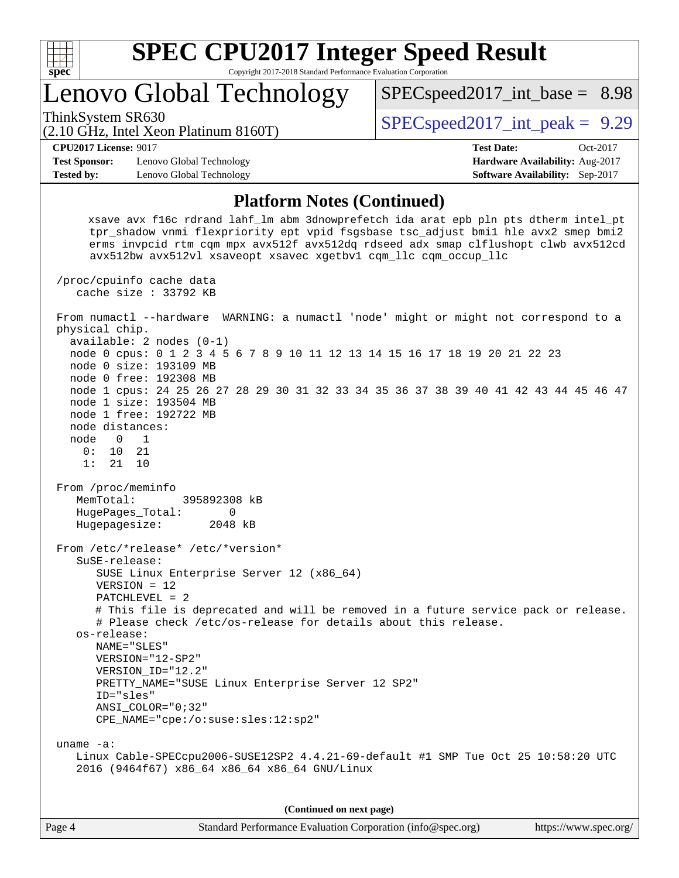

Lenovo Global Technology

ThinkSystem SR630  $SPEC speed2017$  int peak = 9.29

 $SPECspeed2017\_int\_base = 8.98$ 

(2.10 GHz, Intel Xeon Platinum 8160T)

**[CPU2017 License:](http://www.spec.org/auto/cpu2017/Docs/result-fields.html#CPU2017License)** 9017 **[Test Date:](http://www.spec.org/auto/cpu2017/Docs/result-fields.html#TestDate)** Oct-2017

**[Test Sponsor:](http://www.spec.org/auto/cpu2017/Docs/result-fields.html#TestSponsor)** Lenovo Global Technology **[Hardware Availability:](http://www.spec.org/auto/cpu2017/Docs/result-fields.html#HardwareAvailability)** Aug-2017 **[Tested by:](http://www.spec.org/auto/cpu2017/Docs/result-fields.html#Testedby)** Lenovo Global Technology **[Software Availability:](http://www.spec.org/auto/cpu2017/Docs/result-fields.html#SoftwareAvailability)** Sep-2017

**[Platform Notes \(Continued\)](http://www.spec.org/auto/cpu2017/Docs/result-fields.html#PlatformNotes)**

 xsave avx f16c rdrand lahf\_lm abm 3dnowprefetch ida arat epb pln pts dtherm intel\_pt tpr\_shadow vnmi flexpriority ept vpid fsgsbase tsc\_adjust bmi1 hle avx2 smep bmi2 erms invpcid rtm cqm mpx avx512f avx512dq rdseed adx smap clflushopt clwb avx512cd avx512bw avx512vl xsaveopt xsavec xgetbv1 cqm\_llc cqm\_occup\_llc

 /proc/cpuinfo cache data cache size : 33792 KB From numactl --hardware WARNING: a numactl 'node' might or might not correspond to a physical chip. available: 2 nodes (0-1) node 0 cpus: 0 1 2 3 4 5 6 7 8 9 10 11 12 13 14 15 16 17 18 19 20 21 22 23 node 0 size: 193109 MB node 0 free: 192308 MB node 1 cpus: 24 25 26 27 28 29 30 31 32 33 34 35 36 37 38 39 40 41 42 43 44 45 46 47 node 1 size: 193504 MB node 1 free: 192722 MB node distances: node 0 1 0: 10 21 1: 21 10 From /proc/meminfo MemTotal: 395892308 kB HugePages\_Total: 0 Hugepagesize: 2048 kB From /etc/\*release\* /etc/\*version\* SuSE-release: SUSE Linux Enterprise Server 12 (x86\_64) VERSION = 12 PATCHLEVEL = 2 # This file is deprecated and will be removed in a future service pack or release. # Please check /etc/os-release for details about this release. os-release: NAME="SLES" VERSION="12-SP2" VERSION\_ID="12.2" PRETTY\_NAME="SUSE Linux Enterprise Server 12 SP2" ID="sles" ANSI\_COLOR="0;32" CPE\_NAME="cpe:/o:suse:sles:12:sp2" uname -a: Linux Cable-SPECcpu2006-SUSE12SP2 4.4.21-69-default #1 SMP Tue Oct 25 10:58:20 UTC 2016 (9464f67) x86\_64 x86\_64 x86\_64 GNU/Linux **(Continued on next page)**

Page 4 Standard Performance Evaluation Corporation [\(info@spec.org\)](mailto:info@spec.org) <https://www.spec.org/>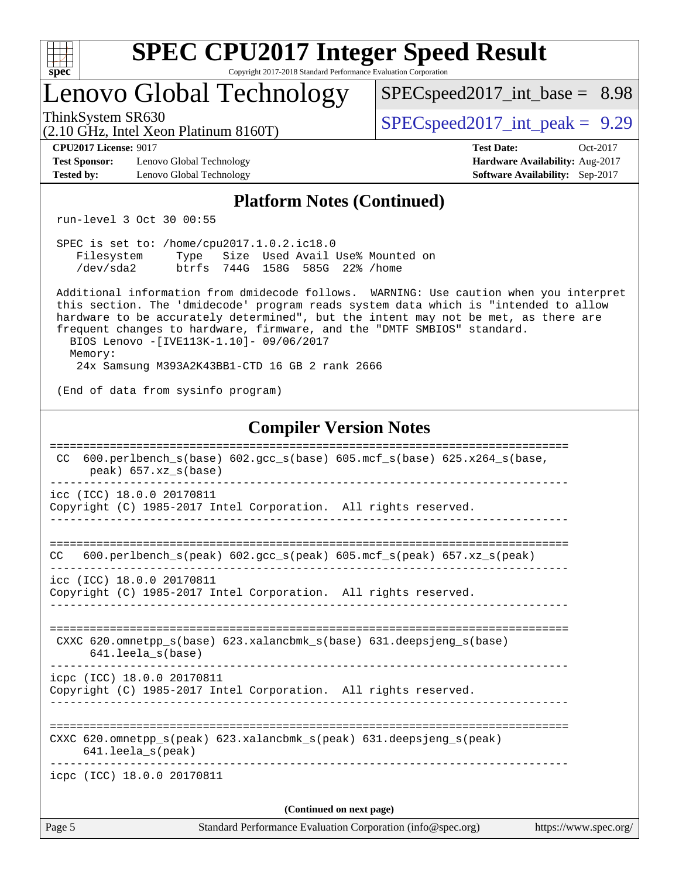| ę.<br>ť<br>L<br>z |  |  |  |  |  |  |  |  |
|-------------------|--|--|--|--|--|--|--|--|

# Lenovo Global Technology

 $SPECspeed2017\_int\_base = 8.98$ 

(2.10 GHz, Intel Xeon Platinum 8160T)

ThinkSystem SR630  $SPEC speed2017$  int peak = 9.29

[Test Sponsor:](http://www.spec.org/auto/cpu2017/Docs/result-fields.html#TestSponsor) Lenovo Global Technology **[Hardware Availability:](http://www.spec.org/auto/cpu2017/Docs/result-fields.html#HardwareAvailability)** Aug-2017 **[Tested by:](http://www.spec.org/auto/cpu2017/Docs/result-fields.html#Testedby)** Lenovo Global Technology **[Software Availability:](http://www.spec.org/auto/cpu2017/Docs/result-fields.html#SoftwareAvailability)** Sep-2017

**[CPU2017 License:](http://www.spec.org/auto/cpu2017/Docs/result-fields.html#CPU2017License)** 9017 **[Test Date:](http://www.spec.org/auto/cpu2017/Docs/result-fields.html#TestDate)** Oct-2017

## **[Platform Notes \(Continued\)](http://www.spec.org/auto/cpu2017/Docs/result-fields.html#PlatformNotes)**

run-level 3 Oct 30 00:55

|            | SPEC is set to: /home/cpu2017.1.0.2.ic18.0 |  |  |  |  |                                      |  |  |  |
|------------|--------------------------------------------|--|--|--|--|--------------------------------------|--|--|--|
| Filesystem |                                            |  |  |  |  | Type Size Used Avail Use% Mounted on |  |  |  |
| /dev/sda2  | btrfs 744G 158G 585G 22% / home            |  |  |  |  |                                      |  |  |  |

 Additional information from dmidecode follows. WARNING: Use caution when you interpret this section. The 'dmidecode' program reads system data which is "intended to allow hardware to be accurately determined", but the intent may not be met, as there are frequent changes to hardware, firmware, and the "DMTF SMBIOS" standard. BIOS Lenovo -[IVE113K-1.10]- 09/06/2017 Memory:

24x Samsung M393A2K43BB1-CTD 16 GB 2 rank 2666

(End of data from sysinfo program)

## **[Compiler Version Notes](http://www.spec.org/auto/cpu2017/Docs/result-fields.html#CompilerVersionNotes)**

|        | CXXC $620$ .omnetpp $s(base)$ $623$ .xalancbmk $s(base)$ $631$ .deepsjeng $s(base)$<br>641.leela s(base)                |                       |
|--------|-------------------------------------------------------------------------------------------------------------------------|-----------------------|
|        | icpc (ICC) 18.0.0 20170811<br>Copyright (C) 1985-2017 Intel Corporation. All rights reserved.                           |                       |
|        | CXXC 620.omnetpp $s(\text{peak})$ 623.xalancbmk $s(\text{peak})$ 631.deepsjeng $s(\text{peak})$<br>$641.$ leela_s(peak) |                       |
|        | icpc (ICC) 18.0.0 20170811                                                                                              |                       |
|        | (Continued on next page)                                                                                                |                       |
| Page 5 | Standard Performance Evaluation Corporation (info@spec.org)                                                             | https://www.spec.org/ |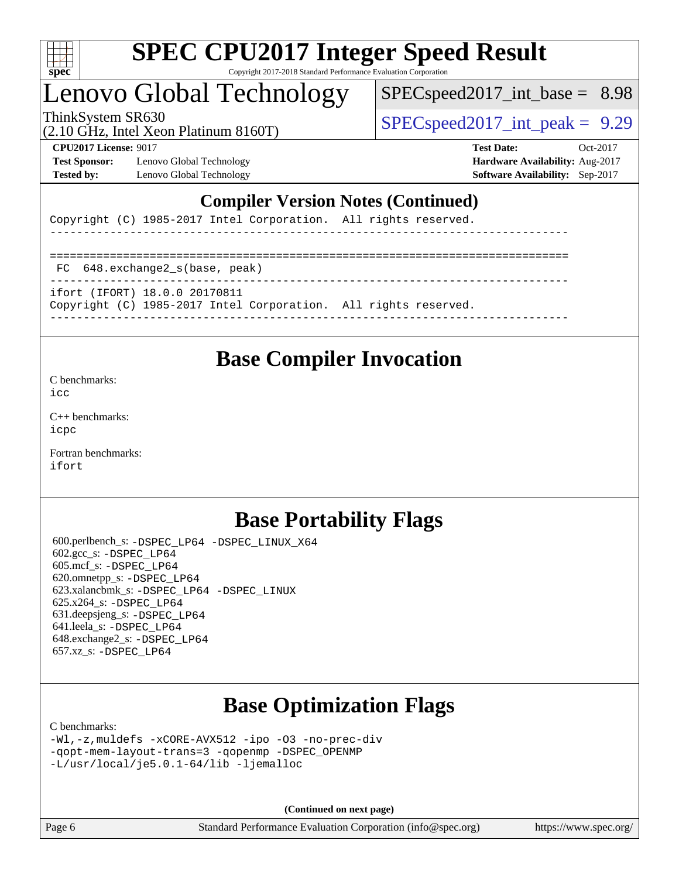

# Lenovo Global Technology

 $SPECspeed2017\_int\_base = 8.98$ 

(2.10 GHz, Intel Xeon Platinum 8160T)

ThinkSystem SR630  $SPEC speed2017$  int peak = 9.29

**[Test Sponsor:](http://www.spec.org/auto/cpu2017/Docs/result-fields.html#TestSponsor)** Lenovo Global Technology **[Hardware Availability:](http://www.spec.org/auto/cpu2017/Docs/result-fields.html#HardwareAvailability)** Aug-2017 **[Tested by:](http://www.spec.org/auto/cpu2017/Docs/result-fields.html#Testedby)** Lenovo Global Technology **[Software Availability:](http://www.spec.org/auto/cpu2017/Docs/result-fields.html#SoftwareAvailability)** Sep-2017

**[CPU2017 License:](http://www.spec.org/auto/cpu2017/Docs/result-fields.html#CPU2017License)** 9017 **[Test Date:](http://www.spec.org/auto/cpu2017/Docs/result-fields.html#TestDate)** Oct-2017

## **[Compiler Version Notes \(Continued\)](http://www.spec.org/auto/cpu2017/Docs/result-fields.html#CompilerVersionNotes)**

Copyright (C) 1985-2017 Intel Corporation. All rights reserved.

| FC 648.exchange2 s(base, peak)                                                                   |  |
|--------------------------------------------------------------------------------------------------|--|
| ifort (IFORT) 18.0.0 20170811<br>Copyright (C) 1985-2017 Intel Corporation. All rights reserved. |  |

## **[Base Compiler Invocation](http://www.spec.org/auto/cpu2017/Docs/result-fields.html#BaseCompilerInvocation)**

[C benchmarks](http://www.spec.org/auto/cpu2017/Docs/result-fields.html#Cbenchmarks):

[icc](http://www.spec.org/cpu2017/results/res2017q4/cpu2017-20171113-00520.flags.html#user_CCbase_intel_icc_18.0_66fc1ee009f7361af1fbd72ca7dcefbb700085f36577c54f309893dd4ec40d12360134090235512931783d35fd58c0460139e722d5067c5574d8eaf2b3e37e92)

[C++ benchmarks:](http://www.spec.org/auto/cpu2017/Docs/result-fields.html#CXXbenchmarks) [icpc](http://www.spec.org/cpu2017/results/res2017q4/cpu2017-20171113-00520.flags.html#user_CXXbase_intel_icpc_18.0_c510b6838c7f56d33e37e94d029a35b4a7bccf4766a728ee175e80a419847e808290a9b78be685c44ab727ea267ec2f070ec5dc83b407c0218cded6866a35d07)

[Fortran benchmarks](http://www.spec.org/auto/cpu2017/Docs/result-fields.html#Fortranbenchmarks): [ifort](http://www.spec.org/cpu2017/results/res2017q4/cpu2017-20171113-00520.flags.html#user_FCbase_intel_ifort_18.0_8111460550e3ca792625aed983ce982f94888b8b503583aa7ba2b8303487b4d8a21a13e7191a45c5fd58ff318f48f9492884d4413fa793fd88dd292cad7027ca)

## **[Base Portability Flags](http://www.spec.org/auto/cpu2017/Docs/result-fields.html#BasePortabilityFlags)**

 600.perlbench\_s: [-DSPEC\\_LP64](http://www.spec.org/cpu2017/results/res2017q4/cpu2017-20171113-00520.flags.html#b600.perlbench_s_basePORTABILITY_DSPEC_LP64) [-DSPEC\\_LINUX\\_X64](http://www.spec.org/cpu2017/results/res2017q4/cpu2017-20171113-00520.flags.html#b600.perlbench_s_baseCPORTABILITY_DSPEC_LINUX_X64) 602.gcc\_s: [-DSPEC\\_LP64](http://www.spec.org/cpu2017/results/res2017q4/cpu2017-20171113-00520.flags.html#suite_basePORTABILITY602_gcc_s_DSPEC_LP64) 605.mcf\_s: [-DSPEC\\_LP64](http://www.spec.org/cpu2017/results/res2017q4/cpu2017-20171113-00520.flags.html#suite_basePORTABILITY605_mcf_s_DSPEC_LP64) 620.omnetpp\_s: [-DSPEC\\_LP64](http://www.spec.org/cpu2017/results/res2017q4/cpu2017-20171113-00520.flags.html#suite_basePORTABILITY620_omnetpp_s_DSPEC_LP64) 623.xalancbmk\_s: [-DSPEC\\_LP64](http://www.spec.org/cpu2017/results/res2017q4/cpu2017-20171113-00520.flags.html#suite_basePORTABILITY623_xalancbmk_s_DSPEC_LP64) [-DSPEC\\_LINUX](http://www.spec.org/cpu2017/results/res2017q4/cpu2017-20171113-00520.flags.html#b623.xalancbmk_s_baseCXXPORTABILITY_DSPEC_LINUX) 625.x264\_s: [-DSPEC\\_LP64](http://www.spec.org/cpu2017/results/res2017q4/cpu2017-20171113-00520.flags.html#suite_basePORTABILITY625_x264_s_DSPEC_LP64) 631.deepsjeng\_s: [-DSPEC\\_LP64](http://www.spec.org/cpu2017/results/res2017q4/cpu2017-20171113-00520.flags.html#suite_basePORTABILITY631_deepsjeng_s_DSPEC_LP64) 641.leela\_s: [-DSPEC\\_LP64](http://www.spec.org/cpu2017/results/res2017q4/cpu2017-20171113-00520.flags.html#suite_basePORTABILITY641_leela_s_DSPEC_LP64) 648.exchange2\_s: [-DSPEC\\_LP64](http://www.spec.org/cpu2017/results/res2017q4/cpu2017-20171113-00520.flags.html#suite_basePORTABILITY648_exchange2_s_DSPEC_LP64) 657.xz\_s: [-DSPEC\\_LP64](http://www.spec.org/cpu2017/results/res2017q4/cpu2017-20171113-00520.flags.html#suite_basePORTABILITY657_xz_s_DSPEC_LP64)

# **[Base Optimization Flags](http://www.spec.org/auto/cpu2017/Docs/result-fields.html#BaseOptimizationFlags)**

[C benchmarks](http://www.spec.org/auto/cpu2017/Docs/result-fields.html#Cbenchmarks):

[-Wl,-z,muldefs](http://www.spec.org/cpu2017/results/res2017q4/cpu2017-20171113-00520.flags.html#user_CCbase_link_force_multiple1_b4cbdb97b34bdee9ceefcfe54f4c8ea74255f0b02a4b23e853cdb0e18eb4525ac79b5a88067c842dd0ee6996c24547a27a4b99331201badda8798ef8a743f577) [-xCORE-AVX512](http://www.spec.org/cpu2017/results/res2017q4/cpu2017-20171113-00520.flags.html#user_CCbase_f-xCORE-AVX512) [-ipo](http://www.spec.org/cpu2017/results/res2017q4/cpu2017-20171113-00520.flags.html#user_CCbase_f-ipo) [-O3](http://www.spec.org/cpu2017/results/res2017q4/cpu2017-20171113-00520.flags.html#user_CCbase_f-O3) [-no-prec-div](http://www.spec.org/cpu2017/results/res2017q4/cpu2017-20171113-00520.flags.html#user_CCbase_f-no-prec-div) [-qopt-mem-layout-trans=3](http://www.spec.org/cpu2017/results/res2017q4/cpu2017-20171113-00520.flags.html#user_CCbase_f-qopt-mem-layout-trans_de80db37974c74b1f0e20d883f0b675c88c3b01e9d123adea9b28688d64333345fb62bc4a798493513fdb68f60282f9a726aa07f478b2f7113531aecce732043) [-qopenmp](http://www.spec.org/cpu2017/results/res2017q4/cpu2017-20171113-00520.flags.html#user_CCbase_qopenmp_16be0c44f24f464004c6784a7acb94aca937f053568ce72f94b139a11c7c168634a55f6653758ddd83bcf7b8463e8028bb0b48b77bcddc6b78d5d95bb1df2967) [-DSPEC\\_OPENMP](http://www.spec.org/cpu2017/results/res2017q4/cpu2017-20171113-00520.flags.html#suite_CCbase_DSPEC_OPENMP) [-L/usr/local/je5.0.1-64/lib](http://www.spec.org/cpu2017/results/res2017q4/cpu2017-20171113-00520.flags.html#user_CCbase_jemalloc_link_path64_4b10a636b7bce113509b17f3bd0d6226c5fb2346b9178c2d0232c14f04ab830f976640479e5c33dc2bcbbdad86ecfb6634cbbd4418746f06f368b512fced5394) [-ljemalloc](http://www.spec.org/cpu2017/results/res2017q4/cpu2017-20171113-00520.flags.html#user_CCbase_jemalloc_link_lib_d1249b907c500fa1c0672f44f562e3d0f79738ae9e3c4a9c376d49f265a04b9c99b167ecedbf6711b3085be911c67ff61f150a17b3472be731631ba4d0471706)

**(Continued on next page)**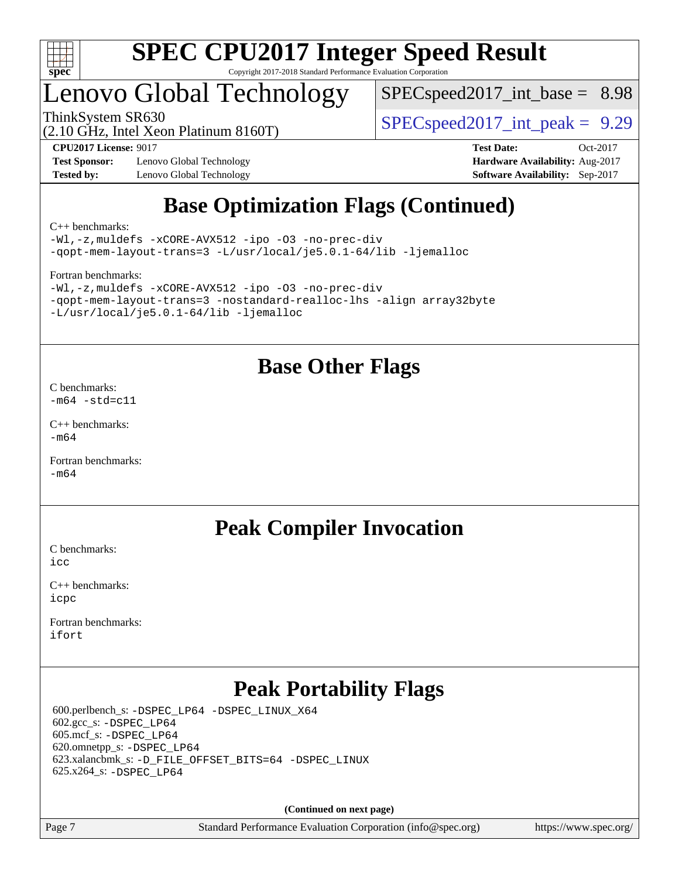

# Lenovo Global Technology

 $SPECspeed2017\_int\_base = 8.98$ 

(2.10 GHz, Intel Xeon Platinum 8160T)

ThinkSystem SR630  $SPEC speed2017$  int peak = 9.29

**[Test Sponsor:](http://www.spec.org/auto/cpu2017/Docs/result-fields.html#TestSponsor)** Lenovo Global Technology **[Hardware Availability:](http://www.spec.org/auto/cpu2017/Docs/result-fields.html#HardwareAvailability)** Aug-2017 **[Tested by:](http://www.spec.org/auto/cpu2017/Docs/result-fields.html#Testedby)** Lenovo Global Technology **[Software Availability:](http://www.spec.org/auto/cpu2017/Docs/result-fields.html#SoftwareAvailability)** Sep-2017

**[CPU2017 License:](http://www.spec.org/auto/cpu2017/Docs/result-fields.html#CPU2017License)** 9017 **[Test Date:](http://www.spec.org/auto/cpu2017/Docs/result-fields.html#TestDate)** Oct-2017

# **[Base Optimization Flags \(Continued\)](http://www.spec.org/auto/cpu2017/Docs/result-fields.html#BaseOptimizationFlags)**

[C++ benchmarks:](http://www.spec.org/auto/cpu2017/Docs/result-fields.html#CXXbenchmarks)

[-Wl,-z,muldefs](http://www.spec.org/cpu2017/results/res2017q4/cpu2017-20171113-00520.flags.html#user_CXXbase_link_force_multiple1_b4cbdb97b34bdee9ceefcfe54f4c8ea74255f0b02a4b23e853cdb0e18eb4525ac79b5a88067c842dd0ee6996c24547a27a4b99331201badda8798ef8a743f577) [-xCORE-AVX512](http://www.spec.org/cpu2017/results/res2017q4/cpu2017-20171113-00520.flags.html#user_CXXbase_f-xCORE-AVX512) [-ipo](http://www.spec.org/cpu2017/results/res2017q4/cpu2017-20171113-00520.flags.html#user_CXXbase_f-ipo) [-O3](http://www.spec.org/cpu2017/results/res2017q4/cpu2017-20171113-00520.flags.html#user_CXXbase_f-O3) [-no-prec-div](http://www.spec.org/cpu2017/results/res2017q4/cpu2017-20171113-00520.flags.html#user_CXXbase_f-no-prec-div) [-qopt-mem-layout-trans=3](http://www.spec.org/cpu2017/results/res2017q4/cpu2017-20171113-00520.flags.html#user_CXXbase_f-qopt-mem-layout-trans_de80db37974c74b1f0e20d883f0b675c88c3b01e9d123adea9b28688d64333345fb62bc4a798493513fdb68f60282f9a726aa07f478b2f7113531aecce732043) [-L/usr/local/je5.0.1-64/lib](http://www.spec.org/cpu2017/results/res2017q4/cpu2017-20171113-00520.flags.html#user_CXXbase_jemalloc_link_path64_4b10a636b7bce113509b17f3bd0d6226c5fb2346b9178c2d0232c14f04ab830f976640479e5c33dc2bcbbdad86ecfb6634cbbd4418746f06f368b512fced5394) [-ljemalloc](http://www.spec.org/cpu2017/results/res2017q4/cpu2017-20171113-00520.flags.html#user_CXXbase_jemalloc_link_lib_d1249b907c500fa1c0672f44f562e3d0f79738ae9e3c4a9c376d49f265a04b9c99b167ecedbf6711b3085be911c67ff61f150a17b3472be731631ba4d0471706)

[Fortran benchmarks](http://www.spec.org/auto/cpu2017/Docs/result-fields.html#Fortranbenchmarks):

```
-Wl,-z,muldefs -xCORE-AVX512 -ipo -O3 -no-prec-div
-qopt-mem-layout-trans=3 -nostandard-realloc-lhs -align array32byte
-L/usr/local/je5.0.1-64/lib -ljemalloc
```
## **[Base Other Flags](http://www.spec.org/auto/cpu2017/Docs/result-fields.html#BaseOtherFlags)**

[C benchmarks](http://www.spec.org/auto/cpu2017/Docs/result-fields.html#Cbenchmarks):  $-m64 - std= c11$  $-m64 - std= c11$ 

[C++ benchmarks:](http://www.spec.org/auto/cpu2017/Docs/result-fields.html#CXXbenchmarks)  $-m64$ 

[Fortran benchmarks](http://www.spec.org/auto/cpu2017/Docs/result-fields.html#Fortranbenchmarks): [-m64](http://www.spec.org/cpu2017/results/res2017q4/cpu2017-20171113-00520.flags.html#user_FCbase_intel_intel64_18.0_af43caccfc8ded86e7699f2159af6efc7655f51387b94da716254467f3c01020a5059329e2569e4053f409e7c9202a7efc638f7a6d1ffb3f52dea4a3e31d82ab)

## **[Peak Compiler Invocation](http://www.spec.org/auto/cpu2017/Docs/result-fields.html#PeakCompilerInvocation)**

[C benchmarks](http://www.spec.org/auto/cpu2017/Docs/result-fields.html#Cbenchmarks):  $i$ cc

[C++ benchmarks:](http://www.spec.org/auto/cpu2017/Docs/result-fields.html#CXXbenchmarks) [icpc](http://www.spec.org/cpu2017/results/res2017q4/cpu2017-20171113-00520.flags.html#user_CXXpeak_intel_icpc_18.0_c510b6838c7f56d33e37e94d029a35b4a7bccf4766a728ee175e80a419847e808290a9b78be685c44ab727ea267ec2f070ec5dc83b407c0218cded6866a35d07)

[Fortran benchmarks](http://www.spec.org/auto/cpu2017/Docs/result-fields.html#Fortranbenchmarks): [ifort](http://www.spec.org/cpu2017/results/res2017q4/cpu2017-20171113-00520.flags.html#user_FCpeak_intel_ifort_18.0_8111460550e3ca792625aed983ce982f94888b8b503583aa7ba2b8303487b4d8a21a13e7191a45c5fd58ff318f48f9492884d4413fa793fd88dd292cad7027ca)

# **[Peak Portability Flags](http://www.spec.org/auto/cpu2017/Docs/result-fields.html#PeakPortabilityFlags)**

 600.perlbench\_s: [-DSPEC\\_LP64](http://www.spec.org/cpu2017/results/res2017q4/cpu2017-20171113-00520.flags.html#b600.perlbench_s_peakPORTABILITY_DSPEC_LP64) [-DSPEC\\_LINUX\\_X64](http://www.spec.org/cpu2017/results/res2017q4/cpu2017-20171113-00520.flags.html#b600.perlbench_s_peakCPORTABILITY_DSPEC_LINUX_X64) 602.gcc\_s: [-DSPEC\\_LP64](http://www.spec.org/cpu2017/results/res2017q4/cpu2017-20171113-00520.flags.html#suite_peakPORTABILITY602_gcc_s_DSPEC_LP64) 605.mcf\_s: [-DSPEC\\_LP64](http://www.spec.org/cpu2017/results/res2017q4/cpu2017-20171113-00520.flags.html#suite_peakPORTABILITY605_mcf_s_DSPEC_LP64) 620.omnetpp\_s: [-DSPEC\\_LP64](http://www.spec.org/cpu2017/results/res2017q4/cpu2017-20171113-00520.flags.html#suite_peakPORTABILITY620_omnetpp_s_DSPEC_LP64) 623.xalancbmk\_s: [-D\\_FILE\\_OFFSET\\_BITS=64](http://www.spec.org/cpu2017/results/res2017q4/cpu2017-20171113-00520.flags.html#user_peakPORTABILITY623_xalancbmk_s_file_offset_bits_64_5ae949a99b284ddf4e95728d47cb0843d81b2eb0e18bdfe74bbf0f61d0b064f4bda2f10ea5eb90e1dcab0e84dbc592acfc5018bc955c18609f94ddb8d550002c) [-DSPEC\\_LINUX](http://www.spec.org/cpu2017/results/res2017q4/cpu2017-20171113-00520.flags.html#b623.xalancbmk_s_peakCXXPORTABILITY_DSPEC_LINUX) 625.x264\_s: [-DSPEC\\_LP64](http://www.spec.org/cpu2017/results/res2017q4/cpu2017-20171113-00520.flags.html#suite_peakPORTABILITY625_x264_s_DSPEC_LP64)

**(Continued on next page)**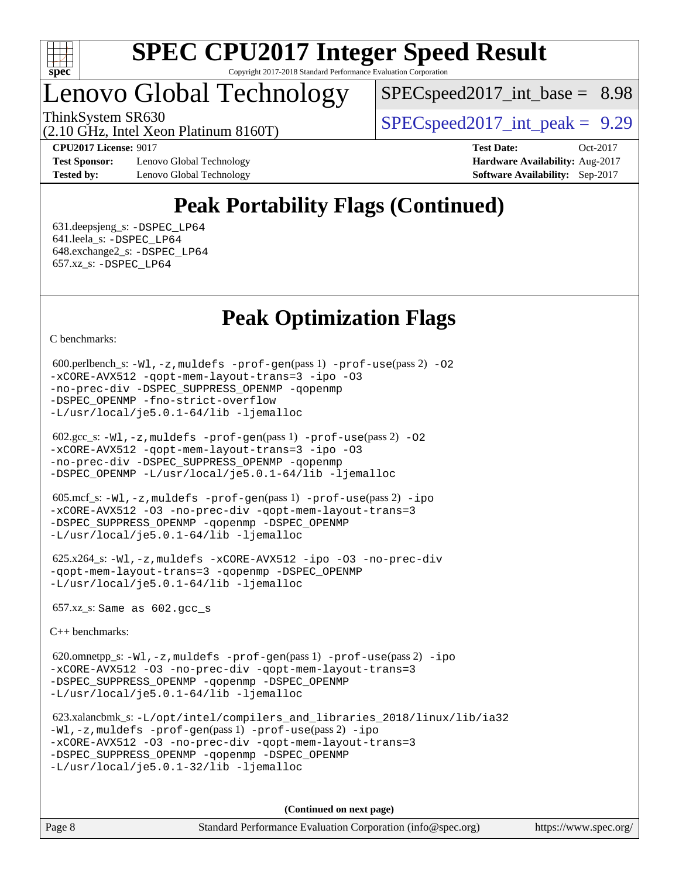

# Lenovo Global Technology

 $SPEC speed2017\_int\_base = 8.98$ 

ThinkSystem SR630  $SPEC speed2017$  int peak = 9.29

(2.10 GHz, Intel Xeon Platinum 8160T)

**[Test Sponsor:](http://www.spec.org/auto/cpu2017/Docs/result-fields.html#TestSponsor)** Lenovo Global Technology **[Hardware Availability:](http://www.spec.org/auto/cpu2017/Docs/result-fields.html#HardwareAvailability)** Aug-2017 **[Tested by:](http://www.spec.org/auto/cpu2017/Docs/result-fields.html#Testedby)** Lenovo Global Technology **[Software Availability:](http://www.spec.org/auto/cpu2017/Docs/result-fields.html#SoftwareAvailability)** Sep-2017

**[CPU2017 License:](http://www.spec.org/auto/cpu2017/Docs/result-fields.html#CPU2017License)** 9017 **[Test Date:](http://www.spec.org/auto/cpu2017/Docs/result-fields.html#TestDate)** Oct-2017

# **[Peak Portability Flags \(Continued\)](http://www.spec.org/auto/cpu2017/Docs/result-fields.html#PeakPortabilityFlags)**

 631.deepsjeng\_s: [-DSPEC\\_LP64](http://www.spec.org/cpu2017/results/res2017q4/cpu2017-20171113-00520.flags.html#suite_peakPORTABILITY631_deepsjeng_s_DSPEC_LP64) 641.leela\_s: [-DSPEC\\_LP64](http://www.spec.org/cpu2017/results/res2017q4/cpu2017-20171113-00520.flags.html#suite_peakPORTABILITY641_leela_s_DSPEC_LP64) 648.exchange2\_s: [-DSPEC\\_LP64](http://www.spec.org/cpu2017/results/res2017q4/cpu2017-20171113-00520.flags.html#suite_peakPORTABILITY648_exchange2_s_DSPEC_LP64) 657.xz\_s: [-DSPEC\\_LP64](http://www.spec.org/cpu2017/results/res2017q4/cpu2017-20171113-00520.flags.html#suite_peakPORTABILITY657_xz_s_DSPEC_LP64)

# **[Peak Optimization Flags](http://www.spec.org/auto/cpu2017/Docs/result-fields.html#PeakOptimizationFlags)**

[C benchmarks](http://www.spec.org/auto/cpu2017/Docs/result-fields.html#Cbenchmarks):

```
600.perlbench_s: -W1-prof-gen-prof-use(pass 2) -02
-xCORE-AVX512 -qopt-mem-layout-trans=3 -ipo -O3
-no-prec-div -DSPEC_SUPPRESS_OPENMP -qopenmp
-DSPEC_OPENMP -fno-strict-overflow
-L/usr/local/je5.0.1-64/lib -ljemalloc
```

```
 602.gcc_s: -Wl,-z,muldefs -prof-gen(pass 1) -prof-use(pass 2) -O2
-xCORE-AVX512 -qopt-mem-layout-trans=3 -ipo -O3
-no-prec-div -DSPEC_SUPPRESS_OPENMP -qopenmp
-DSPEC_OPENMP -L/usr/local/je5.0.1-64/lib -ljemalloc
```

```
 605.mcf_s: -Wl,-z,muldefs -prof-gen(pass 1) -prof-use(pass 2) -ipo
-xCORE-AVX512 -O3 -no-prec-div -qopt-mem-layout-trans=3
-DSPEC_SUPPRESS_OPENMP -qopenmp -DSPEC_OPENMP
-L/usr/local/je5.0.1-64/lib -ljemalloc
```

```
 625.x264_s: -Wl,-z,muldefs -xCORE-AVX512 -ipo -O3 -no-prec-div
-qopt-mem-layout-trans=3 -qopenmp -DSPEC_OPENMP
-L/usr/local/je5.0.1-64/lib -ljemalloc
```
657.xz\_s: Same as 602.gcc\_s

[C++ benchmarks:](http://www.spec.org/auto/cpu2017/Docs/result-fields.html#CXXbenchmarks)

 620.omnetpp\_s: [-Wl,-z,muldefs](http://www.spec.org/cpu2017/results/res2017q4/cpu2017-20171113-00520.flags.html#user_peakEXTRA_LDFLAGS620_omnetpp_s_link_force_multiple1_b4cbdb97b34bdee9ceefcfe54f4c8ea74255f0b02a4b23e853cdb0e18eb4525ac79b5a88067c842dd0ee6996c24547a27a4b99331201badda8798ef8a743f577) [-prof-gen](http://www.spec.org/cpu2017/results/res2017q4/cpu2017-20171113-00520.flags.html#user_peakPASS1_CXXFLAGSPASS1_LDFLAGS620_omnetpp_s_prof_gen_5aa4926d6013ddb2a31985c654b3eb18169fc0c6952a63635c234f711e6e63dd76e94ad52365559451ec499a2cdb89e4dc58ba4c67ef54ca681ffbe1461d6b36)(pass 1) [-prof-use](http://www.spec.org/cpu2017/results/res2017q4/cpu2017-20171113-00520.flags.html#user_peakPASS2_CXXFLAGSPASS2_LDFLAGS620_omnetpp_s_prof_use_1a21ceae95f36a2b53c25747139a6c16ca95bd9def2a207b4f0849963b97e94f5260e30a0c64f4bb623698870e679ca08317ef8150905d41bd88c6f78df73f19)(pass 2) [-ipo](http://www.spec.org/cpu2017/results/res2017q4/cpu2017-20171113-00520.flags.html#user_peakPASS1_CXXOPTIMIZEPASS2_CXXOPTIMIZE620_omnetpp_s_f-ipo) [-xCORE-AVX512](http://www.spec.org/cpu2017/results/res2017q4/cpu2017-20171113-00520.flags.html#user_peakPASS2_CXXOPTIMIZE620_omnetpp_s_f-xCORE-AVX512) [-O3](http://www.spec.org/cpu2017/results/res2017q4/cpu2017-20171113-00520.flags.html#user_peakPASS1_CXXOPTIMIZEPASS2_CXXOPTIMIZE620_omnetpp_s_f-O3) [-no-prec-div](http://www.spec.org/cpu2017/results/res2017q4/cpu2017-20171113-00520.flags.html#user_peakPASS1_CXXOPTIMIZEPASS2_CXXOPTIMIZE620_omnetpp_s_f-no-prec-div) [-qopt-mem-layout-trans=3](http://www.spec.org/cpu2017/results/res2017q4/cpu2017-20171113-00520.flags.html#user_peakPASS1_CXXOPTIMIZEPASS2_CXXOPTIMIZE620_omnetpp_s_f-qopt-mem-layout-trans_de80db37974c74b1f0e20d883f0b675c88c3b01e9d123adea9b28688d64333345fb62bc4a798493513fdb68f60282f9a726aa07f478b2f7113531aecce732043) [-DSPEC\\_SUPPRESS\\_OPENMP](http://www.spec.org/cpu2017/results/res2017q4/cpu2017-20171113-00520.flags.html#suite_peakPASS1_CXXOPTIMIZE620_omnetpp_s_DSPEC_SUPPRESS_OPENMP) [-qopenmp](http://www.spec.org/cpu2017/results/res2017q4/cpu2017-20171113-00520.flags.html#user_peakPASS2_CXXOPTIMIZE620_omnetpp_s_qopenmp_16be0c44f24f464004c6784a7acb94aca937f053568ce72f94b139a11c7c168634a55f6653758ddd83bcf7b8463e8028bb0b48b77bcddc6b78d5d95bb1df2967) [-DSPEC\\_OPENMP](http://www.spec.org/cpu2017/results/res2017q4/cpu2017-20171113-00520.flags.html#suite_peakPASS2_CXXOPTIMIZE620_omnetpp_s_DSPEC_OPENMP) [-L/usr/local/je5.0.1-64/lib](http://www.spec.org/cpu2017/results/res2017q4/cpu2017-20171113-00520.flags.html#user_peakEXTRA_LIBS620_omnetpp_s_jemalloc_link_path64_4b10a636b7bce113509b17f3bd0d6226c5fb2346b9178c2d0232c14f04ab830f976640479e5c33dc2bcbbdad86ecfb6634cbbd4418746f06f368b512fced5394) [-ljemalloc](http://www.spec.org/cpu2017/results/res2017q4/cpu2017-20171113-00520.flags.html#user_peakEXTRA_LIBS620_omnetpp_s_jemalloc_link_lib_d1249b907c500fa1c0672f44f562e3d0f79738ae9e3c4a9c376d49f265a04b9c99b167ecedbf6711b3085be911c67ff61f150a17b3472be731631ba4d0471706)

```
 623.xalancbmk_s: -L/opt/intel/compilers_and_libraries_2018/linux/lib/ia32
-Wl,-z,muldefs -prof-gen(pass 1) -prof-use(pass 2) -ipo
-xCORE-AVX512 -O3 -no-prec-div -qopt-mem-layout-trans=3
-DSPEC_SUPPRESS_OPENMP -qopenmp -DSPEC_OPENMP
-L/usr/local/je5.0.1-32/lib -ljemalloc
```
**(Continued on next page)**